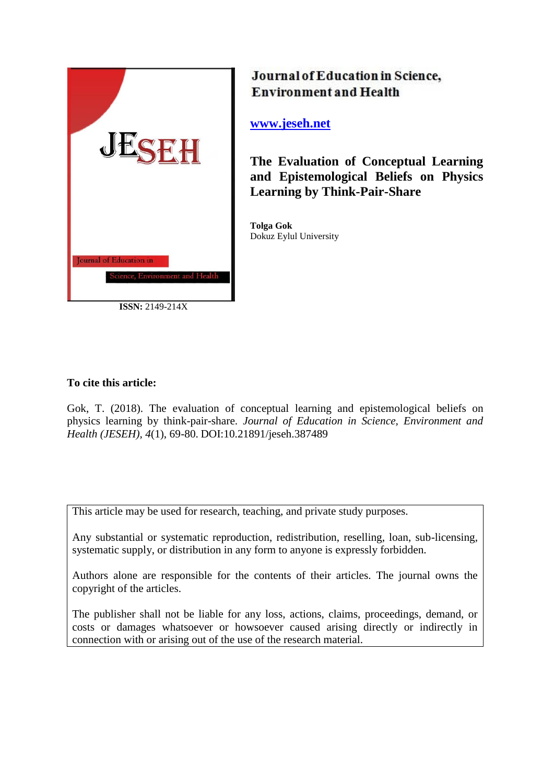

**ISSN:** 2149-214X

# Journal of Education in Science, **Environment and Health**

**[www.jeseh.net](file:///C:/Users/mustafa/Desktop/www.jeseh.net)**

**The Evaluation of Conceptual Learning and Epistemological Beliefs on Physics Learning by Think-Pair-Share** 

**Tolga Gok** Dokuz Eylul University

## **To cite this article:**

Gok, T. (2018). The evaluation of conceptual learning and epistemological beliefs on physics learning by think-pair-share. *Journal of Education in Science, Environment and Health (JESEH), 4*(1), 69-80. DOI:10.21891/jeseh.387489

This article may be used for research, teaching, and private study purposes.

Any substantial or systematic reproduction, redistribution, reselling, loan, sub-licensing, systematic supply, or distribution in any form to anyone is expressly forbidden.

Authors alone are responsible for the contents of their articles. The journal owns the copyright of the articles.

The publisher shall not be liable for any loss, actions, claims, proceedings, demand, or costs or damages whatsoever or howsoever caused arising directly or indirectly in connection with or arising out of the use of the research material.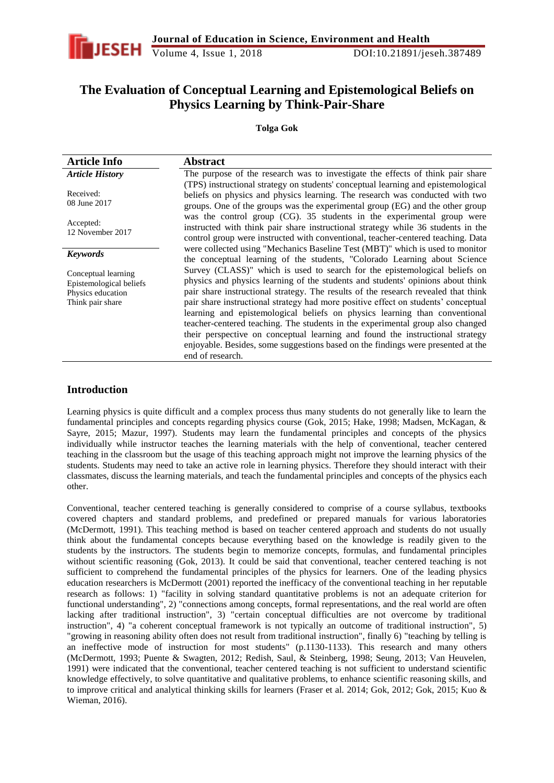

## **The Evaluation of Conceptual Learning and Epistemological Beliefs on Physics Learning by Think-Pair-Share**

**Tolga Gok**

| <b>Article Info</b>                                                                     | <b>Abstract</b>                                                                                                                                                                                                                                                                                                                                                                                                                                                                                                                                                                                                                                                                                    |  |  |  |
|-----------------------------------------------------------------------------------------|----------------------------------------------------------------------------------------------------------------------------------------------------------------------------------------------------------------------------------------------------------------------------------------------------------------------------------------------------------------------------------------------------------------------------------------------------------------------------------------------------------------------------------------------------------------------------------------------------------------------------------------------------------------------------------------------------|--|--|--|
| <b>Article History</b>                                                                  | The purpose of the research was to investigate the effects of think pair share                                                                                                                                                                                                                                                                                                                                                                                                                                                                                                                                                                                                                     |  |  |  |
| Received:<br>08 June 2017                                                               | (TPS) instructional strategy on students' conceptual learning and epistemological<br>beliefs on physics and physics learning. The research was conducted with two<br>groups. One of the groups was the experimental group (EG) and the other group                                                                                                                                                                                                                                                                                                                                                                                                                                                 |  |  |  |
| Accepted:<br>12 November 2017                                                           | was the control group (CG). 35 students in the experimental group were<br>instructed with think pair share instructional strategy while 36 students in the<br>control group were instructed with conventional, teacher-centered teaching. Data                                                                                                                                                                                                                                                                                                                                                                                                                                                     |  |  |  |
| <b>Keywords</b>                                                                         | were collected using "Mechanics Baseline Test (MBT)" which is used to monitor<br>the conceptual learning of the students, "Colorado Learning about Science                                                                                                                                                                                                                                                                                                                                                                                                                                                                                                                                         |  |  |  |
| Conceptual learning<br>Epistemological beliefs<br>Physics education<br>Think pair share | Survey (CLASS)" which is used to search for the epistemological beliefs on<br>physics and physics learning of the students and students' opinions about think<br>pair share instructional strategy. The results of the research revealed that think<br>pair share instructional strategy had more positive effect on students' conceptual<br>learning and epistemological beliefs on physics learning than conventional<br>teacher-centered teaching. The students in the experimental group also changed<br>their perspective on conceptual learning and found the instructional strategy<br>enjoyable. Besides, some suggestions based on the findings were presented at the<br>end of research. |  |  |  |

## **Introduction**

Learning physics is quite difficult and a complex process thus many students do not generally like to learn the fundamental principles and concepts regarding physics course (Gok, 2015; Hake, 1998; Madsen, McKagan, & Sayre, 2015; Mazur, 1997). Students may learn the fundamental principles and concepts of the physics individually while instructor teaches the learning materials with the help of conventional, teacher centered teaching in the classroom but the usage of this teaching approach might not improve the learning physics of the students. Students may need to take an active role in learning physics. Therefore they should interact with their classmates, discuss the learning materials, and teach the fundamental principles and concepts of the physics each other.

Conventional, teacher centered teaching is generally considered to comprise of a course syllabus, textbooks covered chapters and standard problems, and predefined or prepared manuals for various laboratories (McDermott, 1991). This teaching method is based on teacher centered approach and students do not usually think about the fundamental concepts because everything based on the knowledge is readily given to the students by the instructors. The students begin to memorize concepts, formulas, and fundamental principles without scientific reasoning (Gok, 2013). It could be said that conventional, teacher centered teaching is not sufficient to comprehend the fundamental principles of the physics for learners. One of the leading physics education researchers is McDermott (2001) reported the inefficacy of the conventional teaching in her reputable research as follows: 1) "facility in solving standard quantitative problems is not an adequate criterion for functional understanding", 2) "connections among concepts, formal representations, and the real world are often lacking after traditional instruction", 3) "certain conceptual difficulties are not overcome by traditional instruction", 4) "a coherent conceptual framework is not typically an outcome of traditional instruction", 5) "growing in reasoning ability often does not result from traditional instruction", finally 6) "teaching by telling is an ineffective mode of instruction for most students" (p.1130-1133). This research and many others (McDermott, 1993; Puente & Swagten, 2012; Redish, Saul, & Steinberg, 1998; Seung, 2013; Van Heuvelen, 1991) were indicated that the conventional, teacher centered teaching is not sufficient to understand scientific knowledge effectively, to solve quantitative and qualitative problems, to enhance scientific reasoning skills, and to improve critical and analytical thinking skills for learners (Fraser et al*.* 2014; Gok, 2012; Gok, 2015; Kuo & Wieman, 2016).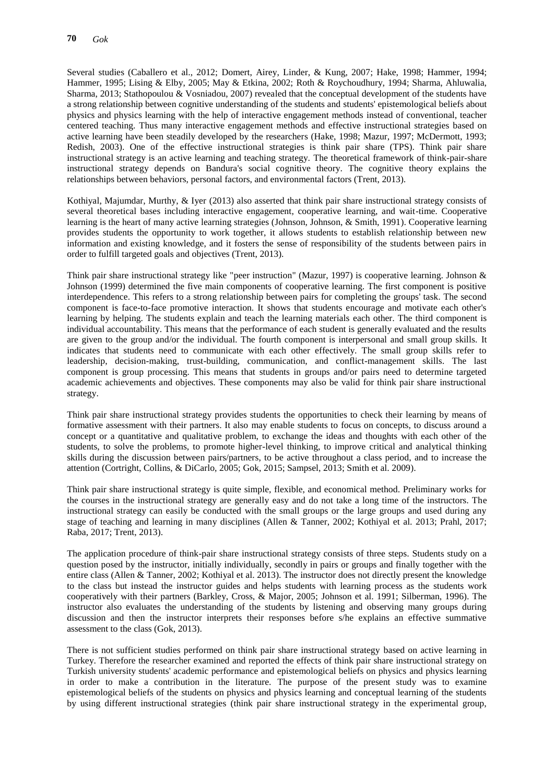Several studies (Caballero et al., 2012; Domert, Airey, Linder, & Kung, 2007; Hake, 1998; Hammer, 1994; Hammer, 1995; Lising & Elby, 2005; May & Etkina, 2002; Roth & Roychoudhury, 1994; Sharma, Ahluwalia, Sharma, 2013; Stathopoulou & Vosniadou, 2007) revealed that the conceptual development of the students have a strong relationship between cognitive understanding of the students and students' epistemological beliefs about physics and physics learning with the help of interactive engagement methods instead of conventional, teacher centered teaching. Thus many interactive engagement methods and effective instructional strategies based on active learning have been steadily developed by the researchers (Hake, 1998; Mazur, 1997; McDermott, 1993; Redish, 2003). One of the effective instructional strategies is think pair share (TPS). Think pair share instructional strategy is an active learning and teaching strategy. The theoretical framework of think-pair-share instructional strategy depends on Bandura's social cognitive theory. The cognitive theory explains the relationships between behaviors, personal factors, and environmental factors (Trent, 2013).

Kothiyal, Majumdar, Murthy, & Iyer (2013) also asserted that think pair share instructional strategy consists of several theoretical bases including interactive engagement, cooperative learning, and wait-time. Cooperative learning is the heart of many active learning strategies (Johnson, Johnson, & Smith, 1991). Cooperative learning provides students the opportunity to work together, it allows students to establish relationship between new information and existing knowledge, and it fosters the sense of responsibility of the students between pairs in order to fulfill targeted goals and objectives (Trent, 2013).

Think pair share instructional strategy like "peer instruction" (Mazur, 1997) is cooperative learning. Johnson & Johnson (1999) determined the five main components of cooperative learning. The first component is positive interdependence. This refers to a strong relationship between pairs for completing the groups' task. The second component is face-to-face promotive interaction. It shows that students encourage and motivate each other's learning by helping. The students explain and teach the learning materials each other. The third component is individual accountability. This means that the performance of each student is generally evaluated and the results are given to the group and/or the individual. The fourth component is interpersonal and small group skills. It indicates that students need to communicate with each other effectively. The small group skills refer to leadership, decision-making, trust-building, communication, and conflict-management skills. The last component is group processing. This means that students in groups and/or pairs need to determine targeted academic achievements and objectives. These components may also be valid for think pair share instructional strategy.

Think pair share instructional strategy provides students the opportunities to check their learning by means of formative assessment with their partners. It also may enable students to focus on concepts, to discuss around a concept or a quantitative and qualitative problem, to exchange the ideas and thoughts with each other of the students, to solve the problems, to promote higher-level thinking, to improve critical and analytical thinking skills during the discussion between pairs/partners, to be active throughout a class period, and to increase the attention (Cortright, Collins, & DiCarlo, 2005; Gok, 2015; Sampsel, 2013; Smith et al. 2009).

Think pair share instructional strategy is quite simple, flexible, and economical method. Preliminary works for the courses in the instructional strategy are generally easy and do not take a long time of the instructors. The instructional strategy can easily be conducted with the small groups or the large groups and used during any stage of teaching and learning in many disciplines (Allen & Tanner, 2002; Kothiyal et al. 2013; Prahl, 2017; Raba, 2017; Trent, 2013).

The application procedure of think-pair share instructional strategy consists of three steps. Students study on a question posed by the instructor, initially individually, secondly in pairs or groups and finally together with the entire class (Allen & Tanner, 2002; Kothiyal et al. 2013). The instructor does not directly present the knowledge to the class but instead the instructor guides and helps students with learning process as the students work cooperatively with their partners (Barkley, Cross, & Major, 2005; Johnson et al. 1991; Silberman, 1996). The instructor also evaluates the understanding of the students by listening and observing many groups during discussion and then the instructor interprets their responses before s/he explains an effective summative assessment to the class (Gok, 2013).

There is not sufficient studies performed on think pair share instructional strategy based on active learning in Turkey. Therefore the researcher examined and reported the effects of think pair share instructional strategy on Turkish university students' academic performance and epistemological beliefs on physics and physics learning in order to make a contribution in the literature. The purpose of the present study was to examine epistemological beliefs of the students on physics and physics learning and conceptual learning of the students by using different instructional strategies (think pair share instructional strategy in the experimental group,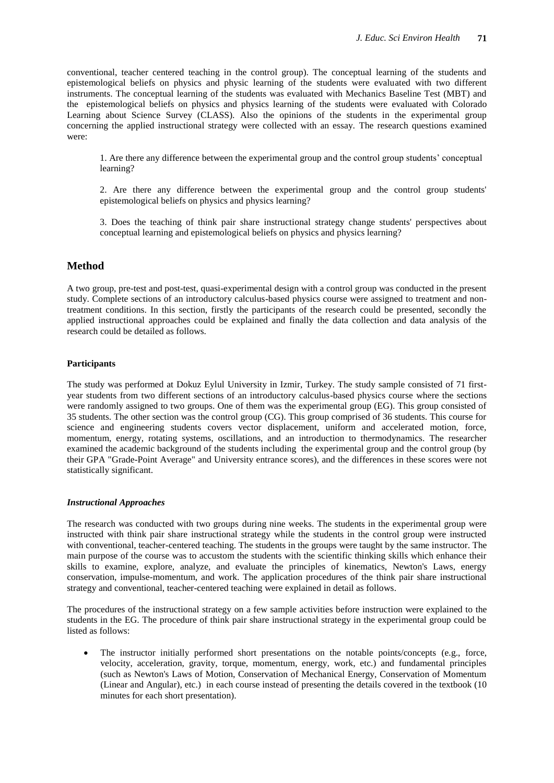conventional, teacher centered teaching in the control group). The conceptual learning of the students and epistemological beliefs on physics and physic learning of the students were evaluated with two different instruments. The conceptual learning of the students was evaluated with Mechanics Baseline Test (MBT) and the epistemological beliefs on physics and physics learning of the students were evaluated with Colorado Learning about Science Survey (CLASS). Also the opinions of the students in the experimental group concerning the applied instructional strategy were collected with an essay. The research questions examined were:

1. Are there any difference between the experimental group and the control group students' conceptual learning?

2. Are there any difference between the experimental group and the control group students' epistemological beliefs on physics and physics learning?

3. Does the teaching of think pair share instructional strategy change students' perspectives about conceptual learning and epistemological beliefs on physics and physics learning?

### **Method**

A two group, pre-test and post-test, quasi-experimental design with a control group was conducted in the present study. Complete sections of an introductory calculus-based physics course were assigned to treatment and nontreatment conditions. In this section, firstly the participants of the research could be presented, secondly the applied instructional approaches could be explained and finally the data collection and data analysis of the research could be detailed as follows.

#### **Participants**

The study was performed at Dokuz Eylul University in Izmir, Turkey. The study sample consisted of 71 firstyear students from two different sections of an introductory calculus-based physics course where the sections were randomly assigned to two groups. One of them was the experimental group (EG). This group consisted of 35 students. The other section was the control group (CG). This group comprised of 36 students. This course for science and engineering students covers vector displacement, uniform and accelerated motion, force, momentum, energy, rotating systems, oscillations, and an introduction to thermodynamics. The researcher examined the academic background of the students including the experimental group and the control group (by their GPA "Grade-Point Average" and University entrance scores), and the differences in these scores were not statistically significant.

#### *Instructional Approaches*

The research was conducted with two groups during nine weeks. The students in the experimental group were instructed with think pair share instructional strategy while the students in the control group were instructed with conventional, teacher-centered teaching. The students in the groups were taught by the same instructor. The main purpose of the course was to accustom the students with the scientific thinking skills which enhance their skills to examine, explore, analyze, and evaluate the principles of kinematics, Newton's Laws, energy conservation, impulse-momentum, and work. The application procedures of the think pair share instructional strategy and conventional, teacher-centered teaching were explained in detail as follows.

The procedures of the instructional strategy on a few sample activities before instruction were explained to the students in the EG. The procedure of think pair share instructional strategy in the experimental group could be listed as follows:

• The instructor initially performed short presentations on the notable points/concepts (e.g., force, velocity, acceleration, gravity, torque, momentum, energy, work, etc.) and fundamental principles (such as Newton's Laws of Motion, Conservation of Mechanical Energy, Conservation of Momentum (Linear and Angular), etc.) in each course instead of presenting the details covered in the textbook (10 minutes for each short presentation).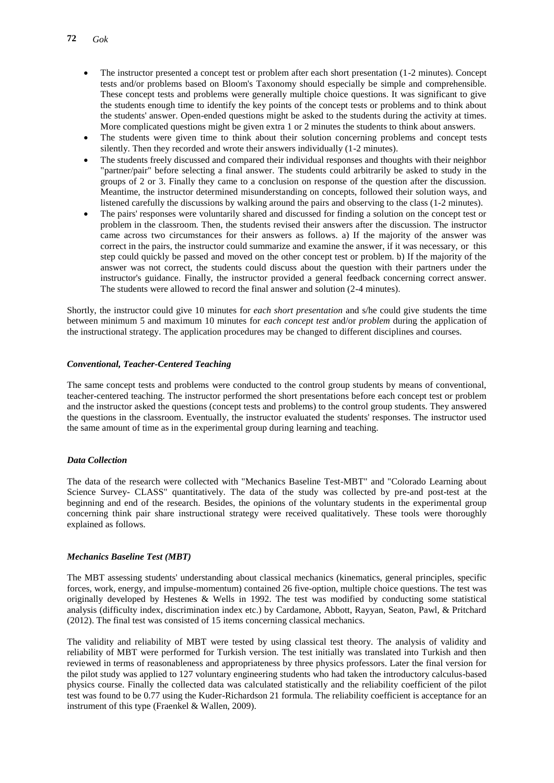- The instructor presented a concept test or problem after each short presentation (1-2 minutes). Concept tests and/or problems based on Bloom's Taxonomy should especially be simple and comprehensible. These concept tests and problems were generally multiple choice questions. It was significant to give the students enough time to identify the key points of the concept tests or problems and to think about the students' answer. Open-ended questions might be asked to the students during the activity at times. More complicated questions might be given extra 1 or 2 minutes the students to think about answers.
- The students were given time to think about their solution concerning problems and concept tests silently. Then they recorded and wrote their answers individually (1-2 minutes).
- The students freely discussed and compared their individual responses and thoughts with their neighbor "partner/pair" before selecting a final answer. The students could arbitrarily be asked to study in the groups of 2 or 3. Finally they came to a conclusion on response of the question after the discussion. Meantime, the instructor determined misunderstanding on concepts, followed their solution ways, and listened carefully the discussions by walking around the pairs and observing to the class (1-2 minutes).
- The pairs' responses were voluntarily shared and discussed for finding a solution on the concept test or problem in the classroom. Then, the students revised their answers after the discussion. The instructor came across two circumstances for their answers as follows. a) If the majority of the answer was correct in the pairs, the instructor could summarize and examine the answer, if it was necessary, or this step could quickly be passed and moved on the other concept test or problem. b) If the majority of the answer was not correct, the students could discuss about the question with their partners under the instructor's guidance. Finally, the instructor provided a general feedback concerning correct answer. The students were allowed to record the final answer and solution (2-4 minutes).

Shortly, the instructor could give 10 minutes for *each short presentation* and s/he could give students the time between minimum 5 and maximum 10 minutes for *each concept test* and/or *problem* during the application of the instructional strategy. The application procedures may be changed to different disciplines and courses.

#### *Conventional, Teacher-Centered Teaching*

The same concept tests and problems were conducted to the control group students by means of conventional, teacher-centered teaching. The instructor performed the short presentations before each concept test or problem and the instructor asked the questions (concept tests and problems) to the control group students. They answered the questions in the classroom. Eventually, the instructor evaluated the students' responses. The instructor used the same amount of time as in the experimental group during learning and teaching.

#### *Data Collection*

The data of the research were collected with "Mechanics Baseline Test-MBT" and "Colorado Learning about Science Survey- CLASS" quantitatively. The data of the study was collected by pre-and post-test at the beginning and end of the research. Besides, the opinions of the voluntary students in the experimental group concerning think pair share instructional strategy were received qualitatively. These tools were thoroughly explained as follows.

#### *Mechanics Baseline Test (MBT)*

The MBT assessing students' understanding about classical mechanics (kinematics, general principles, specific forces, work, energy, and impulse-momentum) contained 26 five-option, multiple choice questions. The test was originally developed by Hestenes & Wells in 1992. The test was modified by conducting some statistical analysis (difficulty index, discrimination index etc.) by Cardamone, Abbott, Rayyan, Seaton, Pawl, & Pritchard (2012). The final test was consisted of 15 items concerning classical mechanics.

The validity and reliability of MBT were tested by using classical test theory. The analysis of validity and reliability of MBT were performed for Turkish version. The test initially was translated into Turkish and then reviewed in terms of reasonableness and appropriateness by three physics professors. Later the final version for the pilot study was applied to 127 voluntary engineering students who had taken the introductory calculus-based physics course. Finally the collected data was calculated statistically and the reliability coefficient of the pilot test was found to be 0.77 using the Kuder-Richardson 21 formula. The reliability coefficient is acceptance for an instrument of this type (Fraenkel & Wallen, 2009).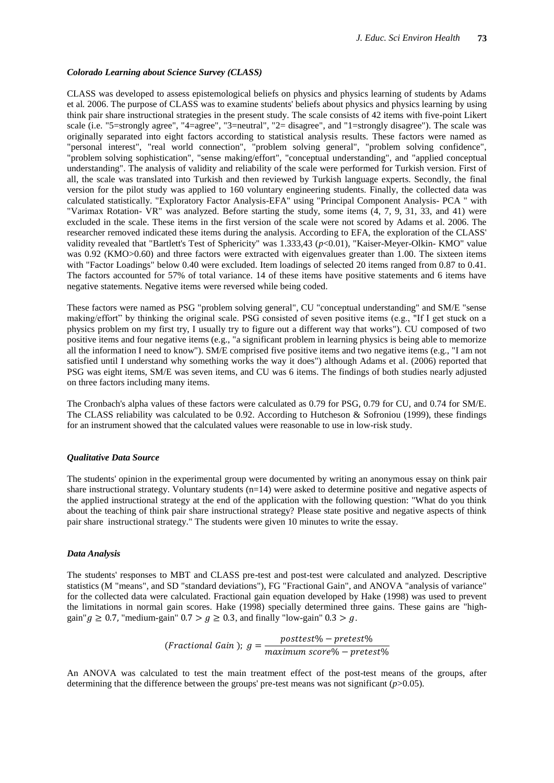#### *Colorado Learning about Science Survey (CLASS)*

CLASS was developed to assess epistemological beliefs on physics and physics learning of students by Adams et al*.* 2006. The purpose of CLASS was to examine students' beliefs about physics and physics learning by using think pair share instructional strategies in the present study. The scale consists of 42 items with five-point Likert scale (i.e. "5=strongly agree", "4=agree", "3=neutral", "2= disagree", and "1=strongly disagree"). The scale was originally separated into eight factors according to statistical analysis results. These factors were named as "personal interest", "real world connection", "problem solving general", "problem solving confidence", "problem solving sophistication", "sense making/effort", "conceptual understanding", and "applied conceptual understanding". The analysis of validity and reliability of the scale were performed for Turkish version. First of all, the scale was translated into Turkish and then reviewed by Turkish language experts. Secondly, the final version for the pilot study was applied to 160 voluntary engineering students. Finally, the collected data was calculated statistically. "Exploratory Factor Analysis-EFA" using "Principal Component Analysis- PCA " with "Varimax Rotation- VR" was analyzed. Before starting the study, some items (4, 7, 9, 31, 33, and 41) were excluded in the scale. These items in the first version of the scale were not scored by Adams et al. 2006. The researcher removed indicated these items during the analysis. According to EFA, the exploration of the CLASS' validity revealed that "Bartlett's Test of Sphericity" was 1.333,43 (*p*<0.01), "Kaiser-Meyer-Olkin- KMO" value was 0.92 (KMO>0.60) and three factors were extracted with eigenvalues greater than 1.00. The sixteen items with "Factor Loadings" below 0.40 were excluded. Item loadings of selected 20 items ranged from 0.87 to 0.41. The factors accounted for 57% of total variance. 14 of these items have positive statements and 6 items have negative statements. Negative items were reversed while being coded.

These factors were named as PSG "problem solving general", CU "conceptual understanding" and SM/E "sense making/effort" by thinking the original scale. PSG consisted of seven positive items (e.g., "If I get stuck on a physics problem on my first try, I usually try to figure out a different way that works"). CU composed of two positive items and four negative items (e.g., "a significant problem in learning physics is being able to memorize all the information I need to know"). SM/E comprised five positive items and two negative items (e.g., "I am not satisfied until I understand why something works the way it does") although Adams et al. (2006) reported that PSG was eight items, SM/E was seven items, and CU was 6 items. The findings of both studies nearly adjusted on three factors including many items.

The Cronbach's alpha values of these factors were calculated as 0.79 for PSG, 0.79 for CU, and 0.74 for SM/E. The CLASS reliability was calculated to be 0.92. According to Hutcheson & Sofroniou (1999), these findings for an instrument showed that the calculated values were reasonable to use in low-risk study.

#### *Qualitative Data Source*

The students' opinion in the experimental group were documented by writing an anonymous essay on think pair share instructional strategy. Voluntary students (n=14) were asked to determine positive and negative aspects of the applied instructional strategy at the end of the application with the following question: "What do you think about the teaching of think pair share instructional strategy? Please state positive and negative aspects of think pair share instructional strategy." The students were given 10 minutes to write the essay.

#### *Data Analysis*

The students' responses to MBT and CLASS pre-test and post-test were calculated and analyzed. Descriptive statistics (M "means", and SD "standard deviations"), FG "Fractional Gain", and ANOVA "analysis of variance" for the collected data were calculated. Fractional gain equation developed by Hake (1998) was used to prevent the limitations in normal gain scores. Hake (1998) specially determined three gains. These gains are "highgain"  $q \ge 0.7$ , "medium-gain"  $0.7 > q \ge 0.3$ , and finally "low-gain"  $0.3 > q$ .

$$
(Fractional Gain); g = \frac{posttest\% - pretest\%}{maximum score\% - pretest\%}
$$

An ANOVA was calculated to test the main treatment effect of the post-test means of the groups, after determining that the difference between the groups' pre-test means was not significant (*p*>0.05).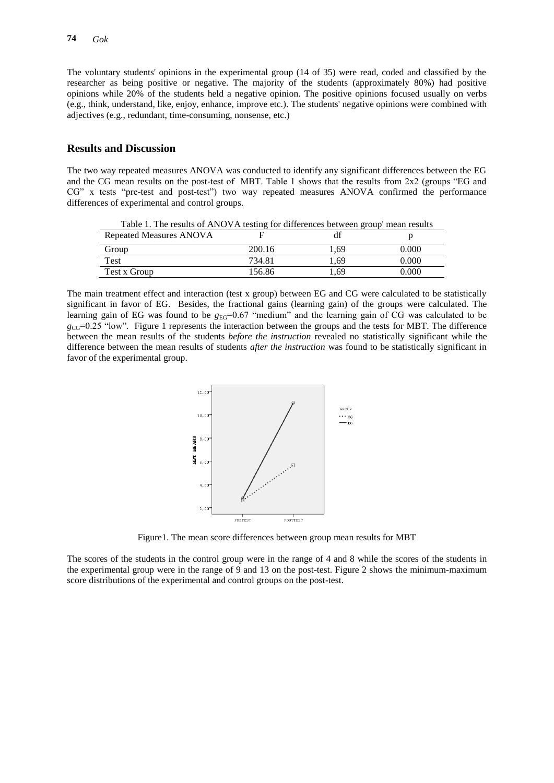The voluntary students' opinions in the experimental group (14 of 35) were read, coded and classified by the researcher as being positive or negative. The majority of the students (approximately 80%) had positive opinions while 20% of the students held a negative opinion. The positive opinions focused usually on verbs (e.g., think, understand, like, enjoy, enhance, improve etc.). The students' negative opinions were combined with adjectives (e.g., redundant, time-consuming, nonsense, etc.)

#### **Results and Discussion**

The two way repeated measures ANOVA was conducted to identify any significant differences between the EG and the CG mean results on the post-test of MBT. Table 1 shows that the results from 2x2 (groups "EG and CG" x tests "pre-test and post-test") two way repeated measures ANOVA confirmed the performance differences of experimental and control groups.

| Table 1. The results of AlvO VA testing for unferences between group incan results |        |      |       |
|------------------------------------------------------------------------------------|--------|------|-------|
| Repeated Measures ANOVA                                                            |        |      |       |
| Group                                                                              | 200.16 | 1.69 | 0.000 |
| Test                                                                               | 734.81 | 1.69 | 0.000 |
| Test x Group                                                                       | 156.86 | . 69 | 0.000 |

Table 1. The results of ANOVA testing for differences between group' mean results

The main treatment effect and interaction (test x group) between EG and CG were calculated to be statistically significant in favor of EG. Besides, the fractional gains (learning gain) of the groups were calculated. The learning gain of EG was found to be  $g_{EG}=0.67$  "medium" and the learning gain of CG was calculated to be  $g_{\text{CG}}=0.25$  "low". Figure 1 represents the interaction between the groups and the tests for MBT. The difference between the mean results of the students *before the instruction* revealed no statistically significant while the difference between the mean results of students *after the instruction* was found to be statistically significant in favor of the experimental group.



Figure1. The mean score differences between group mean results for MBT

The scores of the students in the control group were in the range of 4 and 8 while the scores of the students in the experimental group were in the range of 9 and 13 on the post-test. Figure 2 shows the minimum-maximum score distributions of the experimental and control groups on the post-test.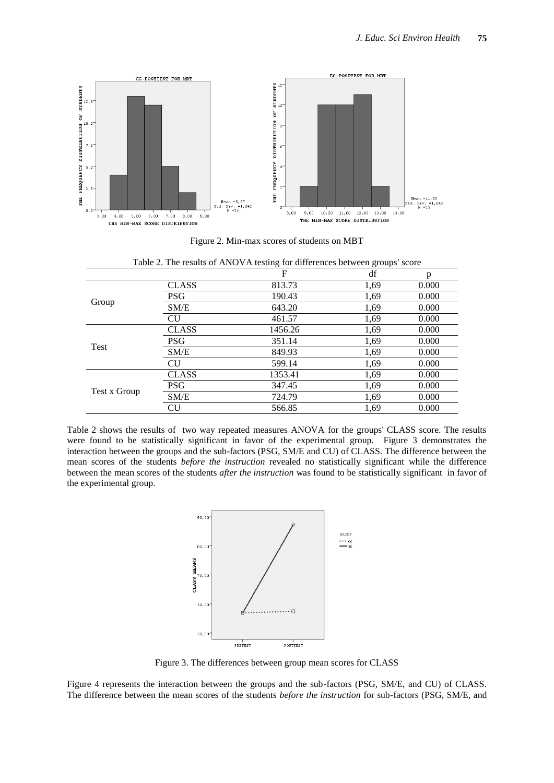

Figure 2. Min-max scores of students on MBT

Table 2. The results of ANOVA testing for differences between groups' score

| $\sim$ $\sim$ $\sim$<br>$\cdots$ so where |              |         |      |       |  |
|-------------------------------------------|--------------|---------|------|-------|--|
|                                           |              | F       | df   | n     |  |
| Group                                     | <b>CLASS</b> | 813.73  | 1,69 | 0.000 |  |
|                                           | <b>PSG</b>   | 190.43  | 1,69 | 0.000 |  |
|                                           | SM/E         | 643.20  | 1,69 | 0.000 |  |
|                                           | CU           | 461.57  | 1,69 | 0.000 |  |
| Test                                      | <b>CLASS</b> | 1456.26 | 1,69 | 0.000 |  |
|                                           | <b>PSG</b>   | 351.14  | 1,69 | 0.000 |  |
|                                           | SM/E         | 849.93  | 1,69 | 0.000 |  |
|                                           | <b>CU</b>    | 599.14  | 1,69 | 0.000 |  |
| Test x Group                              | <b>CLASS</b> | 1353.41 | 1,69 | 0.000 |  |
|                                           | PSG          | 347.45  | 1,69 | 0.000 |  |
|                                           | SM/E         | 724.79  | 1,69 | 0.000 |  |
|                                           | CU           | 566.85  | 1,69 | 0.000 |  |

Table 2 shows the results of two way repeated measures ANOVA for the groups' CLASS score. The results were found to be statistically significant in favor of the experimental group. Figure 3 demonstrates the interaction between the groups and the sub-factors (PSG, SM/E and CU) of CLASS. The difference between the mean scores of the students *before the instruction* revealed no statistically significant while the difference between the mean scores of the students *after the instruction* was found to be statistically significant in favor of the experimental group.



Figure 3. The differences between group mean scores for CLASS

Figure 4 represents the interaction between the groups and the sub-factors (PSG, SM/E, and CU) of CLASS. The difference between the mean scores of the students *before the instruction* for sub-factors (PSG, SM/E, and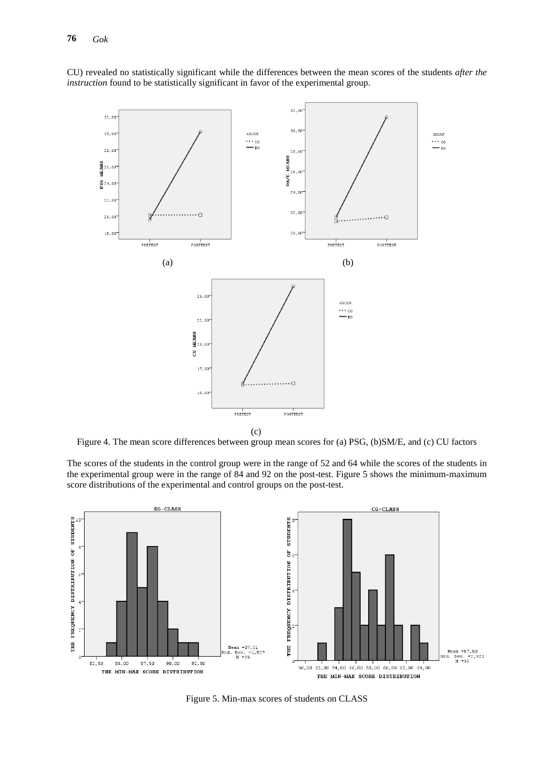CU) revealed no statistically significant while the differences between the mean scores of the students *after the instruction* found to be statistically significant in favor of the experimental group.



Figure 4. The mean score differences between group mean scores for (a) PSG, (b)SM/E, and (c) CU factors

The scores of the students in the control group were in the range of 52 and 64 while the scores of the students in the experimental group were in the range of 84 and 92 on the post-test. Figure 5 shows the minimum-maximum score distributions of the experimental and control groups on the post-test.



Figure 5. Min-max scores of students on CLASS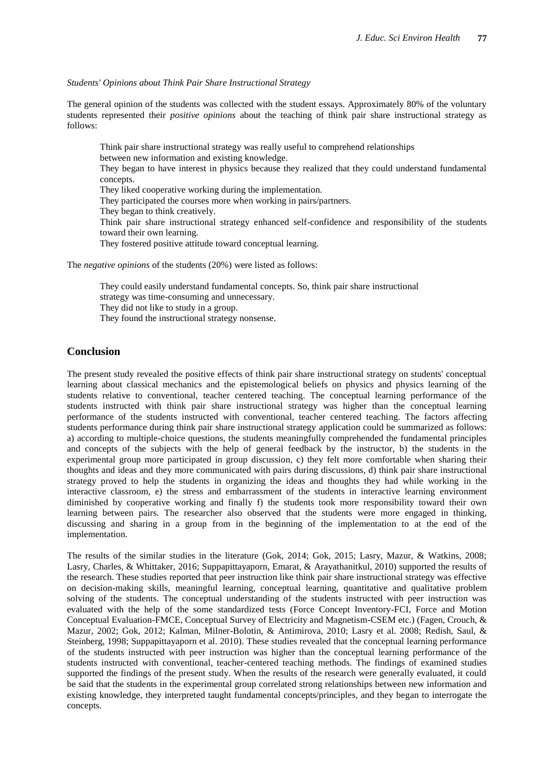*Students' Opinions about Think Pair Share Instructional Strategy*

The general opinion of the students was collected with the student essays. Approximately 80% of the voluntary students represented their *positive opinions* about the teaching of think pair share instructional strategy as follows:

Think pair share instructional strategy was really useful to comprehend relationships between new information and existing knowledge. They began to have interest in physics because they realized that they could understand fundamental concepts. They liked cooperative working during the implementation. They participated the courses more when working in pairs/partners. They began to think creatively. Think pair share instructional strategy enhanced self-confidence and responsibility of the students toward their own learning. They fostered positive attitude toward conceptual learning.

The *negative opinions* of the students (20%) were listed as follows:

They could easily understand fundamental concepts. So, think pair share instructional strategy was time-consuming and unnecessary. They did not like to study in a group. They found the instructional strategy nonsense.

### **Conclusion**

The present study revealed the positive effects of think pair share instructional strategy on students' conceptual learning about classical mechanics and the epistemological beliefs on physics and physics learning of the students relative to conventional, teacher centered teaching. The conceptual learning performance of the students instructed with think pair share instructional strategy was higher than the conceptual learning performance of the students instructed with conventional, teacher centered teaching. The factors affecting students performance during think pair share instructional strategy application could be summarized as follows: a) according to multiple-choice questions, the students meaningfully comprehended the fundamental principles and concepts of the subjects with the help of general feedback by the instructor, b) the students in the experimental group more participated in group discussion, c) they felt more comfortable when sharing their thoughts and ideas and they more communicated with pairs during discussions, d) think pair share instructional strategy proved to help the students in organizing the ideas and thoughts they had while working in the interactive classroom, e) the stress and embarrassment of the students in interactive learning environment diminished by cooperative working and finally f) the students took more responsibility toward their own learning between pairs. The researcher also observed that the students were more engaged in thinking, discussing and sharing in a group from in the beginning of the implementation to at the end of the implementation.

The results of the similar studies in the literature (Gok, 2014; Gok, 2015; Lasry, Mazur, & Watkins, 2008; Lasry, Charles, & Whittaker, 2016; Suppapittayaporn, Emarat, & Arayathanitkul, 2010) supported the results of the research. These studies reported that peer instruction like think pair share instructional strategy was effective on decision-making skills, meaningful learning, conceptual learning, quantitative and qualitative problem solving of the students. The conceptual understanding of the students instructed with peer instruction was evaluated with the help of the some standardized tests (Force Concept Inventory-FCI, Force and Motion Conceptual Evaluation-FMCE, Conceptual Survey of Electricity and Magnetism-CSEM etc.) (Fagen, Crouch, & Mazur, 2002; Gok, 2012; Kalman, Milner-Bolotin, & Antimirova, 2010; Lasry et al. 2008; Redish, Saul, & Steinberg, 1998; Suppapittayaporn et al. 2010). These studies revealed that the conceptual learning performance of the students instructed with peer instruction was higher than the conceptual learning performance of the students instructed with conventional, teacher-centered teaching methods. The findings of examined studies supported the findings of the present study. When the results of the research were generally evaluated, it could be said that the students in the experimental group correlated strong relationships between new information and existing knowledge, they interpreted taught fundamental concepts/principles, and they began to interrogate the concepts.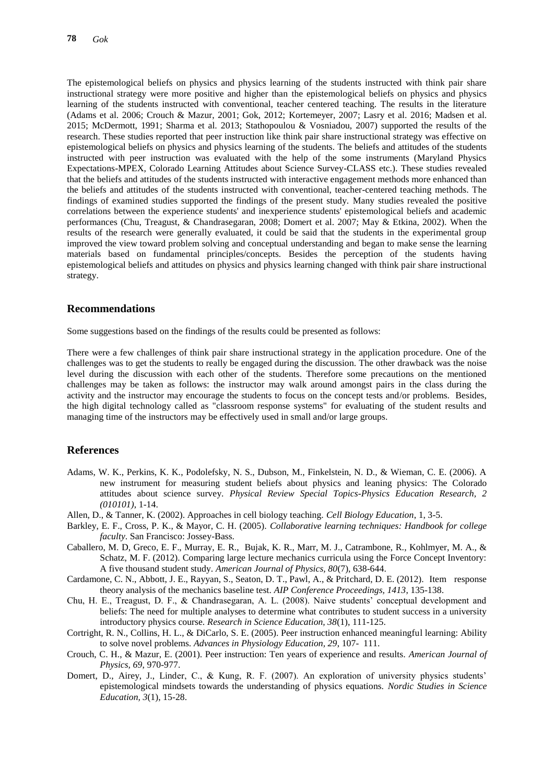The epistemological beliefs on physics and physics learning of the students instructed with think pair share instructional strategy were more positive and higher than the epistemological beliefs on physics and physics learning of the students instructed with conventional, teacher centered teaching. The results in the literature (Adams et al. 2006; Crouch & Mazur, 2001; Gok, 2012; Kortemeyer, 2007; Lasry et al. 2016; Madsen et al. 2015; McDermott, 1991; Sharma et al. 2013; Stathopoulou & Vosniadou, 2007) supported the results of the research. These studies reported that peer instruction like think pair share instructional strategy was effective on epistemological beliefs on physics and physics learning of the students. The beliefs and attitudes of the students instructed with peer instruction was evaluated with the help of the some instruments (Maryland Physics Expectations-MPEX, Colorado Learning Attitudes about Science Survey-CLASS etc.). These studies revealed that the beliefs and attitudes of the students instructed with interactive engagement methods more enhanced than the beliefs and attitudes of the students instructed with conventional, teacher-centered teaching methods. The findings of examined studies supported the findings of the present study. Many studies revealed the positive correlations between the experience students' and inexperience students' epistemological beliefs and academic performances (Chu, Treagust, & Chandrasegaran, 2008; Domert et al. 2007; May & Etkina, 2002). When the results of the research were generally evaluated, it could be said that the students in the experimental group improved the view toward problem solving and conceptual understanding and began to make sense the learning materials based on fundamental principles/concepts. Besides the perception of the students having epistemological beliefs and attitudes on physics and physics learning changed with think pair share instructional strategy.

#### **Recommendations**

Some suggestions based on the findings of the results could be presented as follows:

There were a few challenges of think pair share instructional strategy in the application procedure. One of the challenges was to get the students to really be engaged during the discussion. The other drawback was the noise level during the discussion with each other of the students. Therefore some precautions on the mentioned challenges may be taken as follows: the instructor may walk around amongst pairs in the class during the activity and the instructor may encourage the students to focus on the concept tests and/or problems. Besides, the high digital technology called as "classroom response systems" for evaluating of the student results and managing time of the instructors may be effectively used in small and/or large groups.

#### **References**

- Adams, W. K., Perkins, K. K., Podolefsky, N. S., Dubson, M., Finkelstein, N. D., & Wieman, C. E. (2006). A new instrument for measuring student beliefs about physics and leaning physics: The Colorado attitudes about science survey. *Physical Review Special Topics-Physics Education Research, 2 (010101)*, 1-14.
- Allen, D., & Tanner, K. (2002). Approaches in cell biology teaching. *Cell Biology Education*, 1, 3-5.
- Barkley, E. F., Cross, P. K., & Mayor, C. H. (2005). *Collaborative learning techniques: Handbook for college faculty*. San Francisco: Jossey-Bass.
- Caballero, M. D, Greco, E. F., Murray, E. R., Bujak, K. R., Marr, M. J., Catrambone, R., Kohlmyer, M. A., & Schatz, M. F. (2012). Comparing large lecture mechanics curricula using the Force Concept Inventory: A five thousand student study. *American Journal of Physics, 80*(7), 638-644.
- Cardamone, C. N., Abbott, J. E., Rayyan, S., Seaton, D. T., Pawl, A., & Pritchard, D. E. (2012). Item response theory analysis of the mechanics baseline test. *AIP Conference Proceedings, 1413*, 135-138.
- Chu, H. E., Treagust, D. F., & Chandrasegaran, A. L. (2008). Naive students' conceptual development and beliefs: The need for multiple analyses to determine what contributes to student success in a university introductory physics course. *Research in Science Education, 38*(1), 111-125.
- Cortright, R. N., Collins, H. L., & DiCarlo, S. E. (2005). Peer instruction enhanced meaningful learning: Ability to solve novel problems. *Advances in Physiology Education, 29*, 107- 111.
- Crouch, C. H., & Mazur, E. (2001). Peer instruction: Ten years of experience and results. *American Journal of Physics, 69*, 970-977.
- Domert, D., Airey, J., Linder, C., & Kung, R. F. (2007). An exploration of university physics students' epistemological mindsets towards the understanding of physics equations. *Nordic Studies in Science Education, 3*(1), 15-28.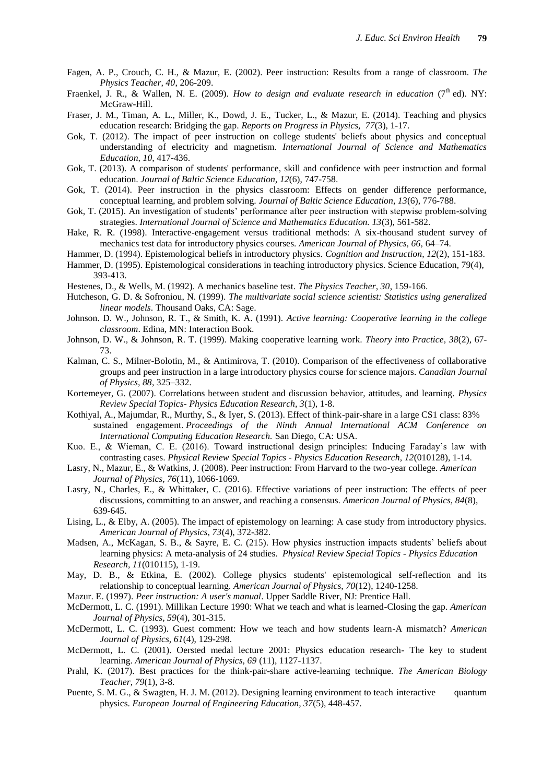- Fagen, A. P., Crouch, C. H., & Mazur, E. (2002). Peer instruction: Results from a range of classroom. *The Physics Teacher, 40*, 206-209.
- Fraenkel, J. R., & Wallen, N. E. (2009). *How to design and evaluate research in education* (7<sup>th</sup> ed). NY: McGraw-Hill.
- Fraser, J. M., Timan, A. L., Miller, K., Dowd, J. E., Tucker, L., & Mazur, E. (2014). Teaching and physics education research: Bridging the gap. *Reports on Progress in Physics, 77*(3), 1-17.
- Gok, T. (2012). The impact of peer instruction on college students' beliefs about physics and conceptual understanding of electricity and magnetism. *International Journal of Science and Mathematics Education, 10,* 417-436.
- Gok, T. (2013). A comparison of students' performance, skill and confidence with peer instruction and formal education. *Journal of Baltic Science Education, 12*(6), 747-758.
- Gok, T. (2014). Peer instruction in the physics classroom: Effects on gender difference performance, conceptual learning, and problem solving. *Journal of Baltic Science Education, 13*(6), 776-788.
- Gok, T. (2015). An investigation of students' performance after peer instruction with stepwise problem-solving strategies. *International Journal of Science and Mathematics Education. 13*(3), 561-582.
- Hake, R. R. (1998). Interactive-engagement versus traditional methods: A six-thousand student survey of mechanics test data for introductory physics courses. *American Journal of Physics, 66,* 64–74.
- Hammer, D. (1994). Epistemological beliefs in introductory physics. *Cognition and Instruction, 12*(2), 151-183.
- Hammer, D. (1995). Epistemological considerations in teaching introductory physics. Science Education, 79(4), 393-413.
- Hestenes, D., & Wells, M. (1992). A mechanics baseline test. *The Physics Teacher, 30*, 159-166.
- Hutcheson, G. D. & Sofroniou, N. (1999). *The multivariate social science scientist: Statistics using generalized linear models*. Thousand Oaks, CA: Sage.
- Johnson. D. W., Johnson, R. T., & Smith, K. A. (1991). *Active learning: Cooperative learning in the college classroom*. Edina, MN: Interaction Book.
- Johnson, D. W., & Johnson, R. T. (1999). Making cooperative learning work. *Theory into Practice*, *38*(2), 67- 73.
- Kalman, C. S., Milner-Bolotin, M., & Antimirova, T. (2010). Comparison of the effectiveness of collaborative groups and peer instruction in a large introductory physics course for science majors. *Canadian Journal of Physics, 88*, 325–332.
- Kortemeyer, G. (2007). Correlations between student and discussion behavior, attitudes, and learning. *Physics Review Special Topics- Physics Education Research, 3*(1), 1-8.
- Kothiyal, A., Majumdar, R., Murthy, S., & Iyer, S. (2013). Effect of think-pair-share in a large CS1 class: 83% sustained engagement. *Proceedings of the Ninth Annual International ACM Conference on International Computing Education Research.* San Diego, CA: USA.
- Kuo. E., & Wieman, C. E. (2016). Toward instructional design principles: Inducing Faraday's law with contrasting cases. *Physical Review Special Topics - Physics Education Research, 12*(010128), 1-14.
- Lasry, N., Mazur, E., & Watkins, J. (2008). Peer instruction: From Harvard to the two-year college. *American Journal of Physics, 76*(11), 1066-1069.
- Lasry, N., Charles, E., & Whittaker, C. (2016). Effective variations of peer instruction: The effects of peer discussions, committing to an answer, and reaching a consensus. *American Journal of Physics, 84*(8), 639-645.
- Lising, L., & Elby, A. (2005). The impact of epistemology on learning: A case study from introductory physics. *American Journal of Physics, 73*(4), 372-382.
- Madsen, A., McKagan, S. B., & Sayre, E. C. (215). How physics instruction impacts students' beliefs about learning physics: A meta-analysis of 24 studies. *Physical Review Special Topics - Physics Education Research, 11*(010115), 1-19.
- May, D. B., & Etkina, E. (2002). College physics students' epistemological self-reflection and its relationship to conceptual learning. *American Journal of Physics, 70*(12), 1240-1258.
- Mazur. E. (1997). *Peer instruction: A user's manual*. Upper Saddle River, NJ: Prentice Hall.
- McDermott, L. C. (1991). Millikan Lecture 1990: What we teach and what is learned-Closing the gap. *American Journal of Physics, 59*(4), 301-315.
- McDermott, L. C. (1993). Guest comment: How we teach and how students learn-A mismatch? *American Journal of Physics, 61*(4), 129-298.
- McDermott, L. C. (2001). Oersted medal lecture 2001: Physics education research- The key to student learning. *American Journal of Physics, 69* (11), 1127-1137.
- Prahl, K. (2017). Best practices for the think-pair-share active-learning technique. *[The American Biology](http://www.bioone.org/loi/ambt)  [Teacher,](http://www.bioone.org/loi/ambt) 79*(1), 3-8.
- Puente, S. M. G., & Swagten, H. J. M. (2012). Designing learning environment to teach interactive quantum physics. *European Journal of Engineering Education, 37*(5), 448-457.